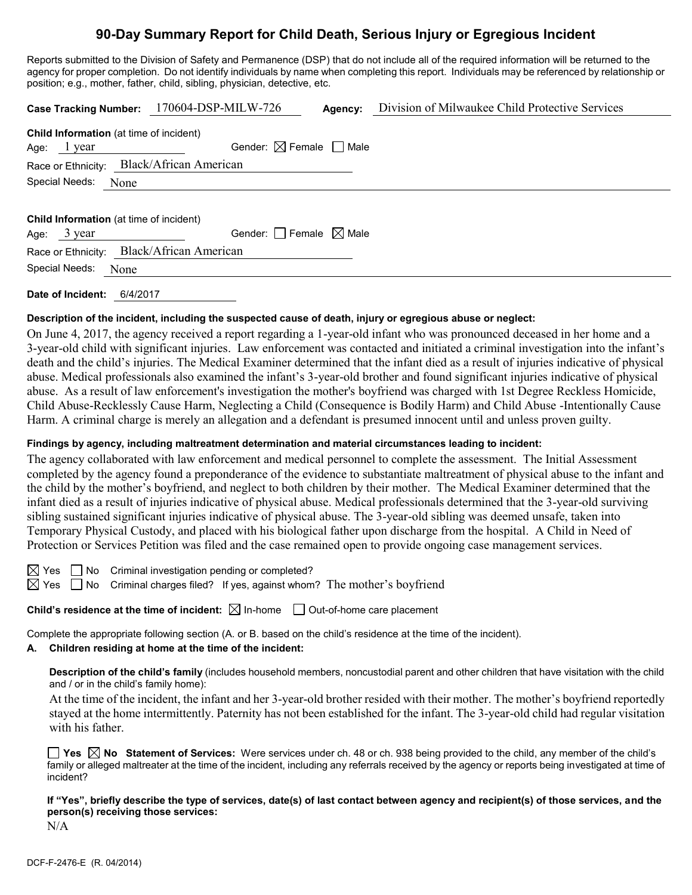# **90-Day Summary Report for Child Death, Serious Injury or Egregious Incident**

Reports submitted to the Division of Safety and Permanence (DSP) that do not include all of the required information will be returned to the agency for proper completion. Do not identify individuals by name when completing this report. Individuals may be referenced by relationship or position; e.g., mother, father, child, sibling, physician, detective, etc.

| <b>Case Tracking Number:</b>                                            | 170604-DSP-MILW-726                    | Agency: | Division of Milwaukee Child Protective Services |
|-------------------------------------------------------------------------|----------------------------------------|---------|-------------------------------------------------|
| <b>Child Information</b> (at time of incident)<br>1 year<br>Age:        | Gender: $\boxtimes$ Female $\Box$ Male |         |                                                 |
| Race or Ethnicity:                                                      | <b>Black/African American</b>          |         |                                                 |
| Special Needs:<br>None                                                  |                                        |         |                                                 |
| <b>Child Information</b> (at time of incident)<br>Age: $3 \text{ year}$ | Gender: $\Box$ Female $\boxtimes$ Male |         |                                                 |
| Race or Ethnicity:                                                      | Black/African American                 |         |                                                 |
| Special Needs:<br>None                                                  |                                        |         |                                                 |

**Date of Incident:** 6/4/2017

## **Description of the incident, including the suspected cause of death, injury or egregious abuse or neglect:**

On June 4, 2017, the agency received a report regarding a 1-year-old infant who was pronounced deceased in her home and a 3-year-old child with significant injuries. Law enforcement was contacted and initiated a criminal investigation into the infant's death and the child's injuries. The Medical Examiner determined that the infant died as a result of injuries indicative of physical abuse. Medical professionals also examined the infant's 3-year-old brother and found significant injuries indicative of physical abuse. As a result of law enforcement's investigation the mother's boyfriend was charged with 1st Degree Reckless Homicide, Child Abuse-Recklessly Cause Harm, Neglecting a Child (Consequence is Bodily Harm) and Child Abuse -Intentionally Cause Harm. A criminal charge is merely an allegation and a defendant is presumed innocent until and unless proven guilty.

## **Findings by agency, including maltreatment determination and material circumstances leading to incident:**

The agency collaborated with law enforcement and medical personnel to complete the assessment. The Initial Assessment completed by the agency found a preponderance of the evidence to substantiate maltreatment of physical abuse to the infant and the child by the mother's boyfriend, and neglect to both children by their mother. The Medical Examiner determined that the infant died as a result of injuries indicative of physical abuse. Medical professionals determined that the 3-year-old surviving sibling sustained significant injuries indicative of physical abuse. The 3-year-old sibling was deemed unsafe, taken into Temporary Physical Custody, and placed with his biological father upon discharge from the hospital. A Child in Need of Protection or Services Petition was filed and the case remained open to provide ongoing case management services.

 $\boxtimes$  Yes  $\Box$  No Criminal investigation pending or completed?

 $\boxtimes$  Yes  $\Box$  No Criminal charges filed? If yes, against whom? The mother's boyfriend

**Child's residence at the time of incident:**  $\boxtimes$  In-home  $\Box$  Out-of-home care placement

Complete the appropriate following section (A. or B. based on the child's residence at the time of the incident).

## **A. Children residing at home at the time of the incident:**

**Description of the child's family** (includes household members, noncustodial parent and other children that have visitation with the child and / or in the child's family home):

At the time of the incident, the infant and her 3-year-old brother resided with their mother. The mother's boyfriend reportedly stayed at the home intermittently. Paternity has not been established for the infant. The 3-year-old child had regular visitation with his father.

|           |  | $\Box$ Yes $\boxtimes$ No Statement of Services: Were services under ch. 48 or ch. 938 being provided to the child, any member of the child's     |  |  |  |
|-----------|--|---------------------------------------------------------------------------------------------------------------------------------------------------|--|--|--|
|           |  | family or alleged maltreater at the time of the incident, including any referrals received by the agency or reports being investigated at time of |  |  |  |
| incident? |  |                                                                                                                                                   |  |  |  |

**If "Yes", briefly describe the type of services, date(s) of last contact between agency and recipient(s) of those services, and the person(s) receiving those services:**

N/A